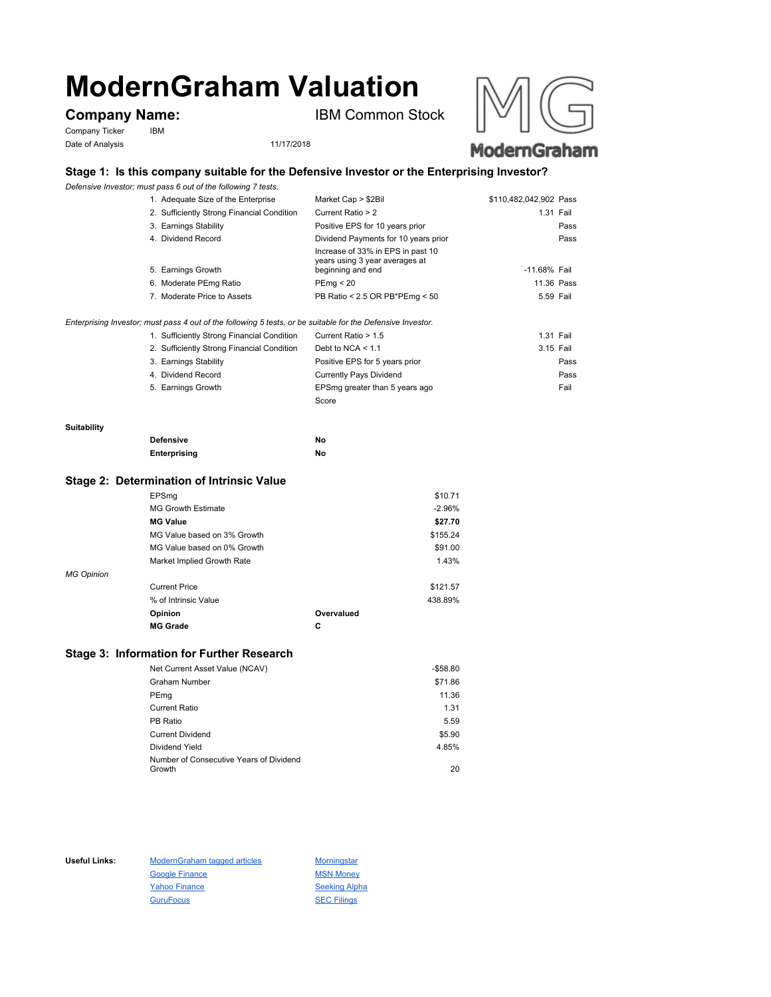# **ModernGraham Valuation**

Company Ticker IBM Date of Analysis 11/17/2018

**Company Name: IBM Common Stock** 



# **Stage 1: Is this company suitable for the Defensive Investor or the Enterprising Investor?**

*Defensive Investor; must pass 6 out of the following 7 tests.*

| 1. Adequate Size of the Enterprise         | Market Cap > \$2Bil                                                                      | \$110,482,042,902 Pass |
|--------------------------------------------|------------------------------------------------------------------------------------------|------------------------|
| 2. Sufficiently Strong Financial Condition | Current Ratio > 2                                                                        | 1.31 Fail              |
| 3. Earnings Stability                      | Positive EPS for 10 years prior                                                          | Pass                   |
| 4. Dividend Record                         | Dividend Payments for 10 years prior                                                     | Pass                   |
| 5. Earnings Growth                         | Increase of 33% in EPS in past 10<br>years using 3 year averages at<br>beginning and end | -11.68% Fail           |
| 6. Moderate PEmg Ratio                     | PEmg < 20                                                                                | 11.36 Pass             |
| 7. Moderate Price to Assets                | PB Ratio < 2.5 OR PB*PEmg < 50                                                           | 5.59 Fail              |
|                                            |                                                                                          |                        |

*Enterprising Investor; must pass 4 out of the following 5 tests, or be suitable for the Defensive Investor.*

| 1. Sufficiently Strong Financial Condition | Current Ratio > 1.5            | 1.31 Fail |      |
|--------------------------------------------|--------------------------------|-----------|------|
| 2. Sufficiently Strong Financial Condition | Debt to NCA $<$ 1.1            | 3.15 Fail |      |
| 3. Earnings Stability                      | Positive EPS for 5 years prior |           | Pass |
| 4. Dividend Record                         | <b>Currently Pays Dividend</b> |           | Pass |
| 5. Earnings Growth                         | EPSmg greater than 5 years ago |           | Fail |
|                                            | Score                          |           |      |

#### **Suitability**

| <b>Defensive</b> | No |
|------------------|----|
| Enterprising     | No |

### **Stage 2: Determination of Intrinsic Value**

|                   | <b>MG Grade</b>             | С          |          |
|-------------------|-----------------------------|------------|----------|
|                   | Opinion                     | Overvalued |          |
|                   | % of Intrinsic Value        |            | 438.89%  |
|                   | <b>Current Price</b>        |            | \$121.57 |
| <b>MG Opinion</b> |                             |            |          |
|                   | Market Implied Growth Rate  |            | 1.43%    |
|                   | MG Value based on 0% Growth |            | \$91.00  |
|                   | MG Value based on 3% Growth |            | \$155.24 |
|                   | <b>MG Value</b>             |            | \$27.70  |
|                   | <b>MG Growth Estimate</b>   |            | $-2.96%$ |
|                   | EPSmg                       |            | \$10.71  |

## **Stage 3: Information for Further Research**

| Net Current Asset Value (NCAV)          | $-$58.80$ |
|-----------------------------------------|-----------|
| Graham Number                           | \$71.86   |
| PEmg                                    | 11.36     |
| Current Ratio                           | 1.31      |
| PB Ratio                                | 5.59      |
| <b>Current Dividend</b>                 | \$5.90    |
| Dividend Yield                          | 4.85%     |
| Number of Consecutive Years of Dividend |           |
| Growth                                  | 20        |

Useful Links: ModernGraham tagged articles Morningstar Google Finance MSN Money Yahoo Finance Seeking Alpha GuruFocus SEC Filings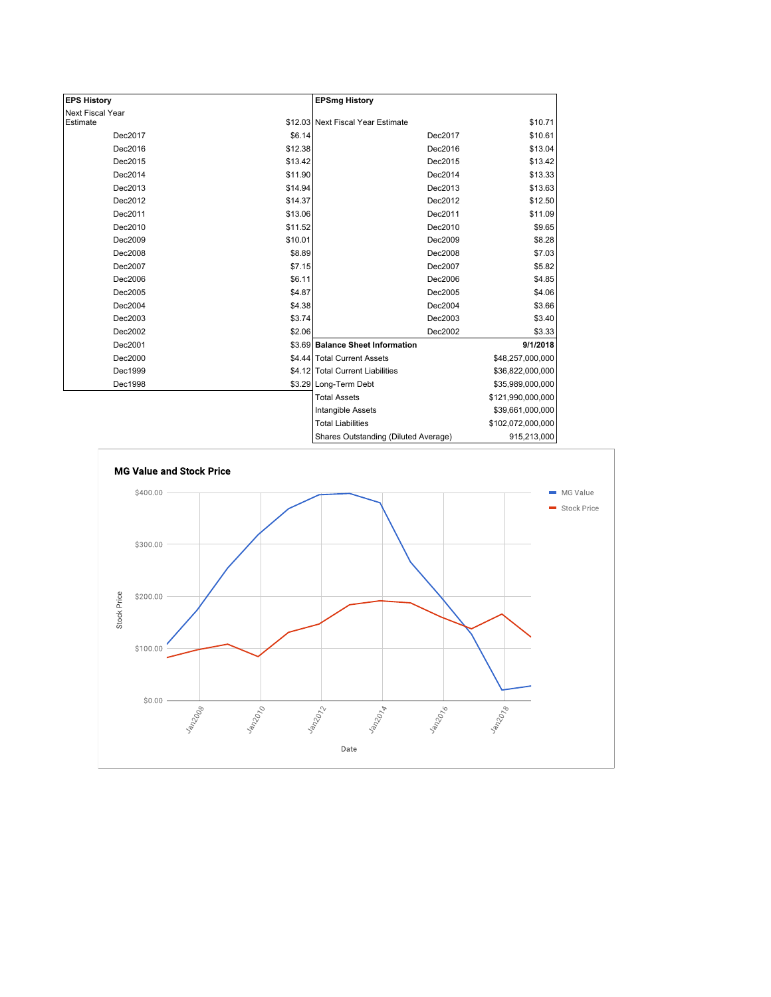| <b>EPS History</b> |         | <b>EPSmg History</b>                          |                   |
|--------------------|---------|-----------------------------------------------|-------------------|
| Next Fiscal Year   |         |                                               |                   |
| Estimate           |         | \$12.03 Next Fiscal Year Estimate             | \$10.71           |
| Dec2017            | \$6.14  | Dec2017                                       | \$10.61           |
| Dec2016            | \$12.38 | Dec2016                                       | \$13.04           |
| Dec2015            | \$13.42 | Dec2015                                       | \$13.42           |
| Dec2014            | \$11.90 | Dec2014                                       | \$13.33           |
| Dec2013            | \$14.94 | Dec2013                                       | \$13.63           |
| Dec2012            | \$14.37 | Dec2012                                       | \$12.50           |
| Dec2011            | \$13.06 | Dec2011                                       | \$11.09           |
| Dec2010            | \$11.52 | Dec2010                                       | \$9.65            |
| Dec2009            | \$10.01 | Dec2009                                       | \$8.28            |
| Dec2008            | \$8.89  | Dec2008                                       | \$7.03            |
| Dec2007            | \$7.15  | Dec2007                                       | \$5.82            |
| Dec2006            | \$6.11  | Dec2006                                       | \$4.85            |
| Dec2005            | \$4.87  | Dec2005                                       | \$4.06            |
| Dec2004            | \$4.38  | Dec2004                                       | \$3.66            |
| Dec2003            | \$3.74  | Dec2003                                       | \$3.40            |
| Dec2002            | \$2.06  | Dec2002                                       | \$3.33            |
| Dec2001            |         | \$3.69 Balance Sheet Information              | 9/1/2018          |
| Dec2000            |         | \$4.44 Total Current Assets                   | \$48,257,000,000  |
| Dec1999            |         | \$4.12 Total Current Liabilities              | \$36,822,000,000  |
| Dec1998            |         | \$3.29 Long-Term Debt                         | \$35,989,000,000  |
|                    |         | <b>Total Assets</b>                           | \$121,990,000,000 |
|                    |         | Intangible Assets                             | \$39,661,000,000  |
|                    |         | <b>Total Liabilities</b>                      | \$102,072,000,000 |
|                    |         | $Charco$ $Outotondina$ $(Dilutod$ $Avarson$ ) | $0.4E$ $0.42000$  |